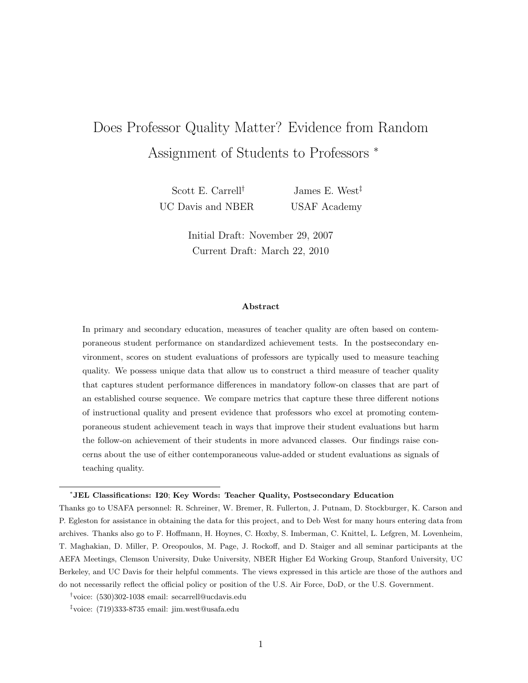# Does Professor Quality Matter? Evidence from Random Assignment of Students to Professors <sup>∗</sup>

Scott E. Carrell† UC Davis and NBER James E. West‡ USAF Academy

> Initial Draft: November 29, 2007 Current Draft: March 22, 2010

#### Abstract

In primary and secondary education, measures of teacher quality are often based on contemporaneous student performance on standardized achievement tests. In the postsecondary environment, scores on student evaluations of professors are typically used to measure teaching quality. We possess unique data that allow us to construct a third measure of teacher quality that captures student performance differences in mandatory follow-on classes that are part of an established course sequence. We compare metrics that capture these three different notions of instructional quality and present evidence that professors who excel at promoting contemporaneous student achievement teach in ways that improve their student evaluations but harm the follow-on achievement of their students in more advanced classes. Our findings raise concerns about the use of either contemporaneous value-added or student evaluations as signals of teaching quality.

Thanks go to USAFA personnel: R. Schreiner, W. Bremer, R. Fullerton, J. Putnam, D. Stockburger, K. Carson and P. Egleston for assistance in obtaining the data for this project, and to Deb West for many hours entering data from archives. Thanks also go to F. Hoffmann, H. Hoynes, C. Hoxby, S. Imberman, C. Knittel, L. Lefgren, M. Lovenheim, T. Maghakian, D. Miller, P. Oreopoulos, M. Page, J. Rockoff, and D. Staiger and all seminar participants at the AEFA Meetings, Clemson University, Duke University, NBER Higher Ed Working Group, Stanford University, UC Berkeley, and UC Davis for their helpful comments. The views expressed in this article are those of the authors and do not necessarily reflect the official policy or position of the U.S. Air Force, DoD, or the U.S. Government.

† voice: (530)302-1038 email: secarrell@ucdavis.edu

<sup>∗</sup>JEL Classifications: I20; Key Words: Teacher Quality, Postsecondary Education

<sup>‡</sup> voice: (719)333-8735 email: jim.west@usafa.edu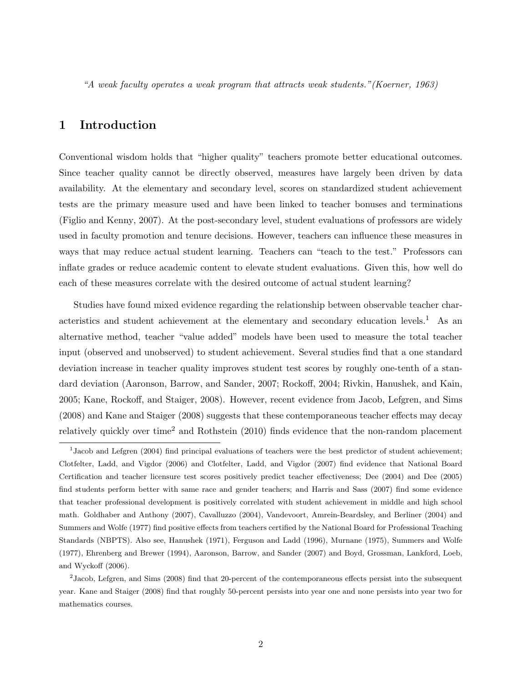"A weak faculty operates a weak program that attracts weak students."(Koerner, 1963)

# 1 Introduction

Conventional wisdom holds that "higher quality" teachers promote better educational outcomes. Since teacher quality cannot be directly observed, measures have largely been driven by data availability. At the elementary and secondary level, scores on standardized student achievement tests are the primary measure used and have been linked to teacher bonuses and terminations (Figlio and Kenny, 2007). At the post-secondary level, student evaluations of professors are widely used in faculty promotion and tenure decisions. However, teachers can influence these measures in ways that may reduce actual student learning. Teachers can "teach to the test." Professors can inflate grades or reduce academic content to elevate student evaluations. Given this, how well do each of these measures correlate with the desired outcome of actual student learning?

Studies have found mixed evidence regarding the relationship between observable teacher characteristics and student achievement at the elementary and secondary education levels.<sup>1</sup> As an alternative method, teacher "value added" models have been used to measure the total teacher input (observed and unobserved) to student achievement. Several studies find that a one standard deviation increase in teacher quality improves student test scores by roughly one-tenth of a standard deviation (Aaronson, Barrow, and Sander, 2007; Rockoff, 2004; Rivkin, Hanushek, and Kain, 2005; Kane, Rockoff, and Staiger, 2008). However, recent evidence from Jacob, Lefgren, and Sims (2008) and Kane and Staiger (2008) suggests that these contemporaneous teacher effects may decay relatively quickly over time<sup>2</sup> and Rothstein (2010) finds evidence that the non-random placement

<sup>&</sup>lt;sup>1</sup> Jacob and Lefgren (2004) find principal evaluations of teachers were the best predictor of student achievement; Clotfelter, Ladd, and Vigdor (2006) and Clotfelter, Ladd, and Vigdor (2007) find evidence that National Board Certification and teacher licensure test scores positively predict teacher effectiveness; Dee (2004) and Dee (2005) find students perform better with same race and gender teachers; and Harris and Sass (2007) find some evidence that teacher professional development is positively correlated with student achievement in middle and high school math. Goldhaber and Anthony (2007), Cavalluzzo (2004), Vandevoort, Amrein-Beardsley, and Berliner (2004) and Summers and Wolfe (1977) find positive effects from teachers certified by the National Board for Professional Teaching Standards (NBPTS). Also see, Hanushek (1971), Ferguson and Ladd (1996), Murnane (1975), Summers and Wolfe (1977), Ehrenberg and Brewer (1994), Aaronson, Barrow, and Sander (2007) and Boyd, Grossman, Lankford, Loeb, and Wyckoff (2006).

<sup>2</sup> Jacob, Lefgren, and Sims (2008) find that 20-percent of the contemporaneous effects persist into the subsequent year. Kane and Staiger (2008) find that roughly 50-percent persists into year one and none persists into year two for mathematics courses.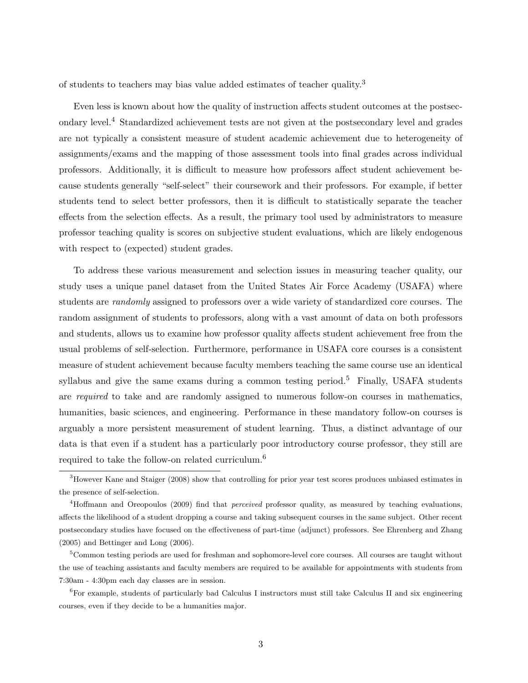of students to teachers may bias value added estimates of teacher quality.<sup>3</sup>

Even less is known about how the quality of instruction affects student outcomes at the postsecondary level.<sup>4</sup> Standardized achievement tests are not given at the postsecondary level and grades are not typically a consistent measure of student academic achievement due to heterogeneity of assignments/exams and the mapping of those assessment tools into final grades across individual professors. Additionally, it is difficult to measure how professors affect student achievement because students generally "self-select" their coursework and their professors. For example, if better students tend to select better professors, then it is difficult to statistically separate the teacher effects from the selection effects. As a result, the primary tool used by administrators to measure professor teaching quality is scores on subjective student evaluations, which are likely endogenous with respect to (expected) student grades.

To address these various measurement and selection issues in measuring teacher quality, our study uses a unique panel dataset from the United States Air Force Academy (USAFA) where students are *randomly* assigned to professors over a wide variety of standardized core courses. The random assignment of students to professors, along with a vast amount of data on both professors and students, allows us to examine how professor quality affects student achievement free from the usual problems of self-selection. Furthermore, performance in USAFA core courses is a consistent measure of student achievement because faculty members teaching the same course use an identical syllabus and give the same exams during a common testing period.<sup>5</sup> Finally, USAFA students are required to take and are randomly assigned to numerous follow-on courses in mathematics, humanities, basic sciences, and engineering. Performance in these mandatory follow-on courses is arguably a more persistent measurement of student learning. Thus, a distinct advantage of our data is that even if a student has a particularly poor introductory course professor, they still are required to take the follow-on related curriculum.<sup>6</sup>

<sup>6</sup>For example, students of particularly bad Calculus I instructors must still take Calculus II and six engineering courses, even if they decide to be a humanities major.

<sup>3</sup>However Kane and Staiger (2008) show that controlling for prior year test scores produces unbiased estimates in the presence of self-selection.

<sup>4</sup>Hoffmann and Oreopoulos (2009) find that perceived professor quality, as measured by teaching evaluations, affects the likelihood of a student dropping a course and taking subsequent courses in the same subject. Other recent postsecondary studies have focused on the effectiveness of part-time (adjunct) professors. See Ehrenberg and Zhang (2005) and Bettinger and Long (2006).

<sup>5</sup>Common testing periods are used for freshman and sophomore-level core courses. All courses are taught without the use of teaching assistants and faculty members are required to be available for appointments with students from 7:30am - 4:30pm each day classes are in session.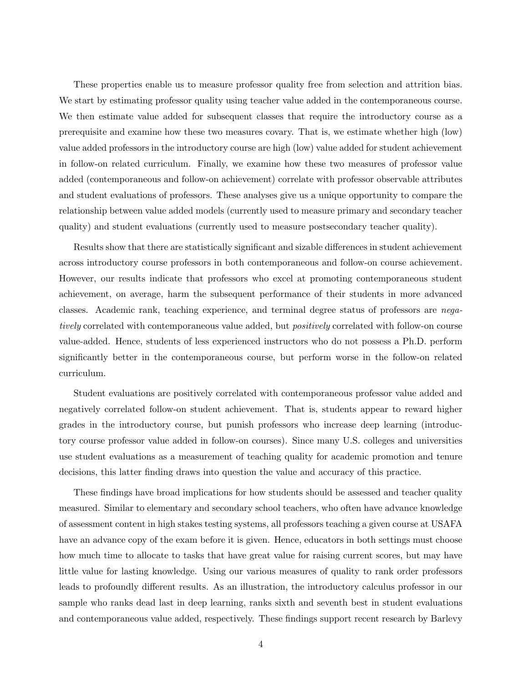These properties enable us to measure professor quality free from selection and attrition bias. We start by estimating professor quality using teacher value added in the contemporaneous course. We then estimate value added for subsequent classes that require the introductory course as a prerequisite and examine how these two measures covary. That is, we estimate whether high (low) value added professors in the introductory course are high (low) value added for student achievement in follow-on related curriculum. Finally, we examine how these two measures of professor value added (contemporaneous and follow-on achievement) correlate with professor observable attributes and student evaluations of professors. These analyses give us a unique opportunity to compare the relationship between value added models (currently used to measure primary and secondary teacher quality) and student evaluations (currently used to measure postsecondary teacher quality).

Results show that there are statistically significant and sizable differences in student achievement across introductory course professors in both contemporaneous and follow-on course achievement. However, our results indicate that professors who excel at promoting contemporaneous student achievement, on average, harm the subsequent performance of their students in more advanced classes. Academic rank, teaching experience, and terminal degree status of professors are negatively correlated with contemporaneous value added, but *positively* correlated with follow-on course value-added. Hence, students of less experienced instructors who do not possess a Ph.D. perform significantly better in the contemporaneous course, but perform worse in the follow-on related curriculum.

Student evaluations are positively correlated with contemporaneous professor value added and negatively correlated follow-on student achievement. That is, students appear to reward higher grades in the introductory course, but punish professors who increase deep learning (introductory course professor value added in follow-on courses). Since many U.S. colleges and universities use student evaluations as a measurement of teaching quality for academic promotion and tenure decisions, this latter finding draws into question the value and accuracy of this practice.

These findings have broad implications for how students should be assessed and teacher quality measured. Similar to elementary and secondary school teachers, who often have advance knowledge of assessment content in high stakes testing systems, all professors teaching a given course at USAFA have an advance copy of the exam before it is given. Hence, educators in both settings must choose how much time to allocate to tasks that have great value for raising current scores, but may have little value for lasting knowledge. Using our various measures of quality to rank order professors leads to profoundly different results. As an illustration, the introductory calculus professor in our sample who ranks dead last in deep learning, ranks sixth and seventh best in student evaluations and contemporaneous value added, respectively. These findings support recent research by Barlevy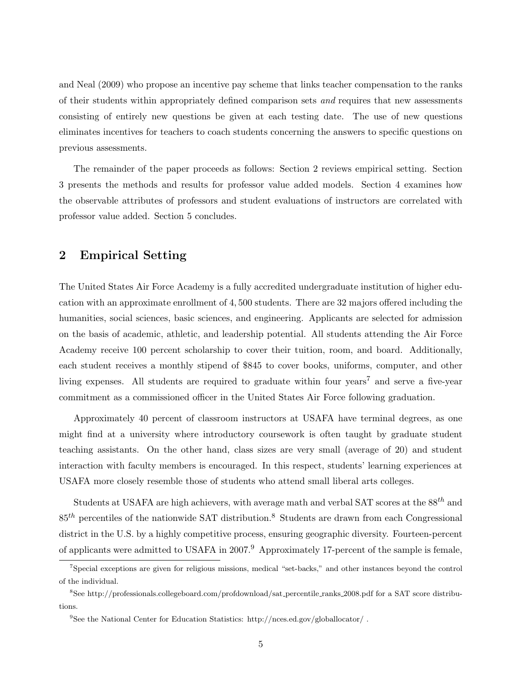and Neal (2009) who propose an incentive pay scheme that links teacher compensation to the ranks of their students within appropriately defined comparison sets and requires that new assessments consisting of entirely new questions be given at each testing date. The use of new questions eliminates incentives for teachers to coach students concerning the answers to specific questions on previous assessments.

The remainder of the paper proceeds as follows: Section 2 reviews empirical setting. Section 3 presents the methods and results for professor value added models. Section 4 examines how the observable attributes of professors and student evaluations of instructors are correlated with professor value added. Section 5 concludes.

# 2 Empirical Setting

The United States Air Force Academy is a fully accredited undergraduate institution of higher education with an approximate enrollment of 4, 500 students. There are 32 majors offered including the humanities, social sciences, basic sciences, and engineering. Applicants are selected for admission on the basis of academic, athletic, and leadership potential. All students attending the Air Force Academy receive 100 percent scholarship to cover their tuition, room, and board. Additionally, each student receives a monthly stipend of \$845 to cover books, uniforms, computer, and other living expenses. All students are required to graduate within four years<sup>7</sup> and serve a five-year commitment as a commissioned officer in the United States Air Force following graduation.

Approximately 40 percent of classroom instructors at USAFA have terminal degrees, as one might find at a university where introductory coursework is often taught by graduate student teaching assistants. On the other hand, class sizes are very small (average of 20) and student interaction with faculty members is encouraged. In this respect, students' learning experiences at USAFA more closely resemble those of students who attend small liberal arts colleges.

Students at USAFA are high achievers, with average math and verbal SAT scores at the  $88^{th}$  and  $85<sup>th</sup>$  percentiles of the nationwide SAT distribution.<sup>8</sup> Students are drawn from each Congressional district in the U.S. by a highly competitive process, ensuring geographic diversity. Fourteen-percent of applicants were admitted to USAFA in 2007.<sup>9</sup> Approximately 17-percent of the sample is female,

<sup>7</sup>Special exceptions are given for religious missions, medical "set-backs," and other instances beyond the control of the individual.

<sup>8</sup>See http://professionals.collegeboard.com/profdownload/sat percentile ranks 2008.pdf for a SAT score distributions.

<sup>9</sup>See the National Center for Education Statistics: http://nces.ed.gov/globallocator/ .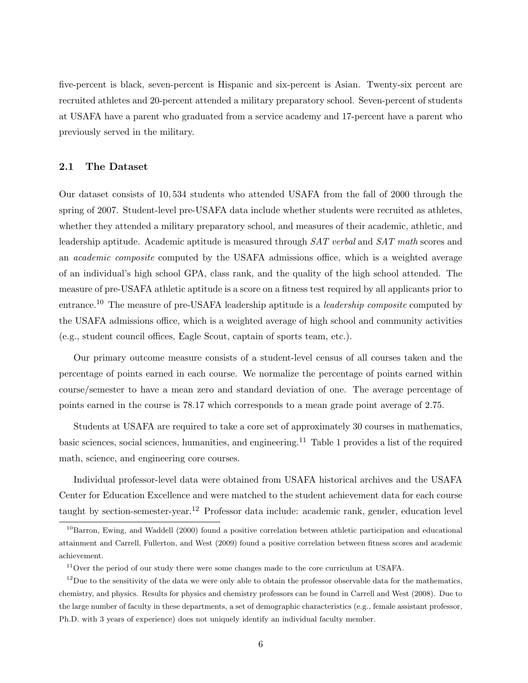five-percent is black, seven-percent is Hispanic and six-percent is Asian. Twenty-six percent are recruited athletes and 20-percent attended a military preparatory school. Seven-percent of students at USAFA have a parent who graduated from a service academy and 17-percent have a parent who previously served in the military.

#### 2.1 The Dataset

Our dataset consists of 10, 534 students who attended USAFA from the fall of 2000 through the spring of 2007. Student-level pre-USAFA data include whether students were recruited as athletes, whether they attended a military preparatory school, and measures of their academic, athletic, and leadership aptitude. Academic aptitude is measured through  $SAT$  verbal and  $SAT$  math scores and an academic composite computed by the USAFA admissions office, which is a weighted average of an individual's high school GPA, class rank, and the quality of the high school attended. The measure of pre-USAFA athletic aptitude is a score on a fitness test required by all applicants prior to entrance.<sup>10</sup> The measure of pre-USAFA leadership aptitude is a *leadership composite* computed by the USAFA admissions office, which is a weighted average of high school and community activities (e.g., student council offices, Eagle Scout, captain of sports team, etc.).

Our primary outcome measure consists of a student-level census of all courses taken and the percentage of points earned in each course. We normalize the percentage of points earned within course/semester to have a mean zero and standard deviation of one. The average percentage of points earned in the course is 78.17 which corresponds to a mean grade point average of 2.75.

Students at USAFA are required to take a core set of approximately 30 courses in mathematics, basic sciences, social sciences, humanities, and engineering.<sup>11</sup> Table 1 provides a list of the required math, science, and engineering core courses.

Individual professor-level data were obtained from USAFA historical archives and the USAFA Center for Education Excellence and were matched to the student achievement data for each course taught by section-semester-year.<sup>12</sup> Professor data include: academic rank, gender, education level

 $10B$ arron, Ewing, and Waddell (2000) found a positive correlation between athletic participation and educational attainment and Carrell, Fullerton, and West (2009) found a positive correlation between fitness scores and academic achievement.

 $11$ Over the period of our study there were some changes made to the core curriculum at USAFA.

 $12$ Due to the sensitivity of the data we were only able to obtain the professor observable data for the mathematics, chemistry, and physics. Results for physics and chemistry professors can be found in Carrell and West (2008). Due to the large number of faculty in these departments, a set of demographic characteristics (e.g., female assistant professor, Ph.D. with 3 years of experience) does not uniquely identify an individual faculty member.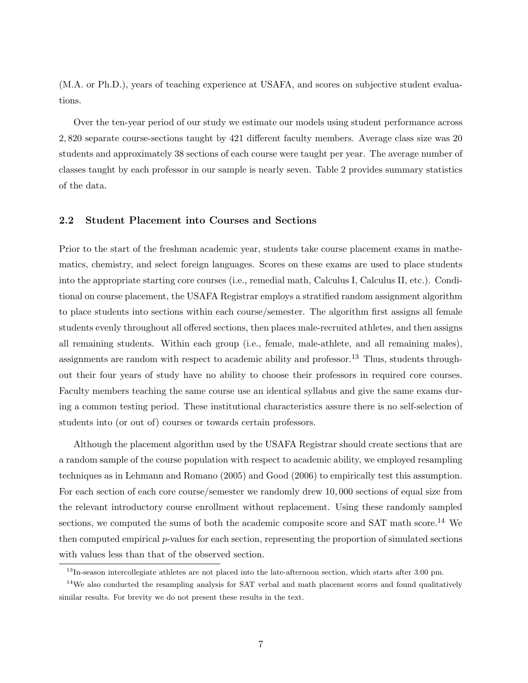(M.A. or Ph.D.), years of teaching experience at USAFA, and scores on subjective student evaluations.

Over the ten-year period of our study we estimate our models using student performance across 2, 820 separate course-sections taught by 421 different faculty members. Average class size was 20 students and approximately 38 sections of each course were taught per year. The average number of classes taught by each professor in our sample is nearly seven. Table 2 provides summary statistics of the data.

#### 2.2 Student Placement into Courses and Sections

Prior to the start of the freshman academic year, students take course placement exams in mathematics, chemistry, and select foreign languages. Scores on these exams are used to place students into the appropriate starting core courses (i.e., remedial math, Calculus I, Calculus II, etc.). Conditional on course placement, the USAFA Registrar employs a stratified random assignment algorithm to place students into sections within each course/semester. The algorithm first assigns all female students evenly throughout all offered sections, then places male-recruited athletes, and then assigns all remaining students. Within each group (i.e., female, male-athlete, and all remaining males), assignments are random with respect to academic ability and professor.<sup>13</sup> Thus, students throughout their four years of study have no ability to choose their professors in required core courses. Faculty members teaching the same course use an identical syllabus and give the same exams during a common testing period. These institutional characteristics assure there is no self-selection of students into (or out of) courses or towards certain professors.

Although the placement algorithm used by the USAFA Registrar should create sections that are a random sample of the course population with respect to academic ability, we employed resampling techniques as in Lehmann and Romano (2005) and Good (2006) to empirically test this assumption. For each section of each core course/semester we randomly drew 10, 000 sections of equal size from the relevant introductory course enrollment without replacement. Using these randomly sampled sections, we computed the sums of both the academic composite score and SAT math score.<sup>14</sup> We then computed empirical p-values for each section, representing the proportion of simulated sections with values less than that of the observed section.

 $^{13}$ In-season intercollegiate athletes are not placed into the late-afternoon section, which starts after 3:00 pm.

 $14$ We also conducted the resampling analysis for SAT verbal and math placement scores and found qualitatively similar results. For brevity we do not present these results in the text.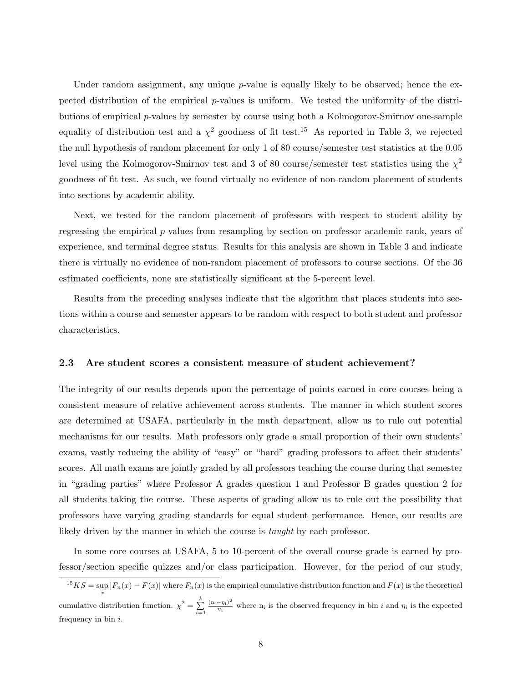Under random assignment, any unique p-value is equally likely to be observed; hence the expected distribution of the empirical  $p$ -values is uniform. We tested the uniformity of the distributions of empirical p-values by semester by course using both a Kolmogorov-Smirnov one-sample equality of distribution test and a  $\chi^2$  goodness of fit test.<sup>15</sup> As reported in Table 3, we rejected the null hypothesis of random placement for only 1 of 80 course/semester test statistics at the 0.05 level using the Kolmogorov-Smirnov test and 3 of 80 course/semester test statistics using the  $\chi^2$ goodness of fit test. As such, we found virtually no evidence of non-random placement of students into sections by academic ability.

Next, we tested for the random placement of professors with respect to student ability by regressing the empirical p-values from resampling by section on professor academic rank, years of experience, and terminal degree status. Results for this analysis are shown in Table 3 and indicate there is virtually no evidence of non-random placement of professors to course sections. Of the 36 estimated coefficients, none are statistically significant at the 5-percent level.

Results from the preceding analyses indicate that the algorithm that places students into sections within a course and semester appears to be random with respect to both student and professor characteristics.

#### 2.3 Are student scores a consistent measure of student achievement?

The integrity of our results depends upon the percentage of points earned in core courses being a consistent measure of relative achievement across students. The manner in which student scores are determined at USAFA, particularly in the math department, allow us to rule out potential mechanisms for our results. Math professors only grade a small proportion of their own students' exams, vastly reducing the ability of "easy" or "hard" grading professors to affect their students' scores. All math exams are jointly graded by all professors teaching the course during that semester in "grading parties" where Professor A grades question 1 and Professor B grades question 2 for all students taking the course. These aspects of grading allow us to rule out the possibility that professors have varying grading standards for equal student performance. Hence, our results are likely driven by the manner in which the course is taught by each professor.

In some core courses at USAFA, 5 to 10-percent of the overall course grade is earned by professor/section specific quizzes and/or class participation. However, for the period of our study,

<sup>15</sup>KS = sup  $|F_n(x) - F(x)|$  where  $F_n(x)$  is the empirical cumulative distribution function and  $F(x)$  is the theoretical cumulative distribution function.  $\chi^2 = \sum_{i=1}^k$  $(n_i - \eta_i)^2$  $\frac{-\eta_1}{\eta_i}$  where  $n_i$  is the observed frequency in bin *i* and  $\eta_i$  is the expected frequency in bin i.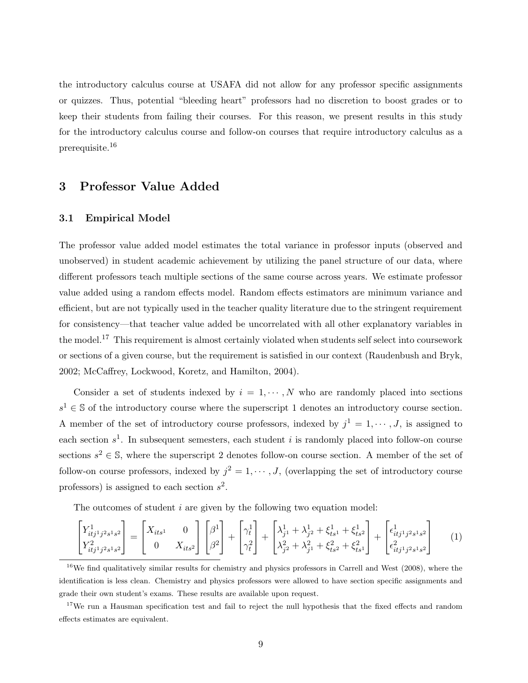the introductory calculus course at USAFA did not allow for any professor specific assignments or quizzes. Thus, potential "bleeding heart" professors had no discretion to boost grades or to keep their students from failing their courses. For this reason, we present results in this study for the introductory calculus course and follow-on courses that require introductory calculus as a prerequisite.<sup>16</sup>

# 3 Professor Value Added

#### 3.1 Empirical Model

The professor value added model estimates the total variance in professor inputs (observed and unobserved) in student academic achievement by utilizing the panel structure of our data, where different professors teach multiple sections of the same course across years. We estimate professor value added using a random effects model. Random effects estimators are minimum variance and efficient, but are not typically used in the teacher quality literature due to the stringent requirement for consistency—that teacher value added be uncorrelated with all other explanatory variables in the model.<sup>17</sup> This requirement is almost certainly violated when students self select into coursework or sections of a given course, but the requirement is satisfied in our context (Raudenbush and Bryk, 2002; McCaffrey, Lockwood, Koretz, and Hamilton, 2004).

Consider a set of students indexed by  $i = 1, \dots, N$  who are randomly placed into sections  $s^1 \in \mathbb{S}$  of the introductory course where the superscript 1 denotes an introductory course section. A member of the set of introductory course professors, indexed by  $j^1 = 1, \dots, J$ , is assigned to each section  $s^1$ . In subsequent semesters, each student i is randomly placed into follow-on course sections  $s^2 \in \mathbb{S}$ , where the superscript 2 denotes follow-on course section. A member of the set of follow-on course professors, indexed by  $j^2 = 1, \dots, J$ , (overlapping the set of introductory course professors) is assigned to each section  $s^2$ .

The outcomes of student  $i$  are given by the following two equation model:

$$
\begin{bmatrix} Y_{itj^1j^2s^1s^2}^1 \ Y_{itj^1j^2s^1s^2}^1 \end{bmatrix} = \begin{bmatrix} X_{its^1} & 0 \ 0 & X_{its^2} \end{bmatrix} \begin{bmatrix} \beta^1 \ \beta^2 \end{bmatrix} + \begin{bmatrix} \gamma_t^1 \ \gamma_t^2 \end{bmatrix} + \begin{bmatrix} \lambda_{j^1}^1 + \lambda_{j^2}^1 + \xi_{ts^1}^1 + \xi_{ts^2}^1 \ \lambda_{j^2}^2 + \lambda_{j^1}^2 + \xi_{ts^2}^2 + \xi_{ts^1}^2 \end{bmatrix} + \begin{bmatrix} \epsilon_{itj^1j^2s^1s^2}^1 \ \epsilon_{itj^1j^2s^1s^2}^2 \end{bmatrix} \tag{1}
$$

 $16$ We find qualitatively similar results for chemistry and physics professors in Carrell and West (2008), where the identification is less clean. Chemistry and physics professors were allowed to have section specific assignments and grade their own student's exams. These results are available upon request.

<sup>&</sup>lt;sup>17</sup>We run a Hausman specification test and fail to reject the null hypothesis that the fixed effects and random effects estimates are equivalent.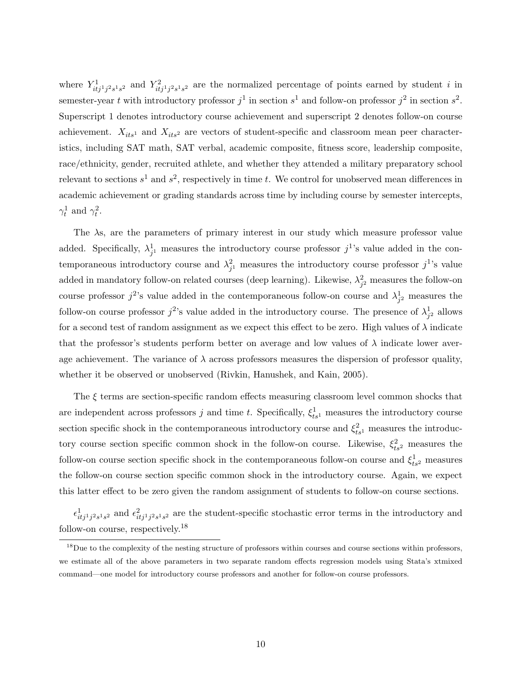where  $Y_{itj1j2s1s2}^1$  and  $Y_{itj1j2s1s2}^2$  are the normalized percentage of points earned by student i in semester-year t with introductory professor  $j^1$  in section  $s^1$  and follow-on professor  $j^2$  in section  $s^2$ . Superscript 1 denotes introductory course achievement and superscript 2 denotes follow-on course achievement.  $X_{its}$  and  $X_{its}$  are vectors of student-specific and classroom mean peer characteristics, including SAT math, SAT verbal, academic composite, fitness score, leadership composite, race/ethnicity, gender, recruited athlete, and whether they attended a military preparatory school relevant to sections  $s^1$  and  $s^2$ , respectively in time t. We control for unobserved mean differences in academic achievement or grading standards across time by including course by semester intercepts,  $\gamma_t^1$  and  $\gamma_t^2$ .

The  $\lambda$ s, are the parameters of primary interest in our study which measure professor value added. Specifically,  $\lambda_{j_1}^1$  measures the introductory course professor  $j_1$ 's value added in the contemporaneous introductory course and  $\lambda_{j}^2$  measures the introductory course professor  $j^1$ 's value added in mandatory follow-on related courses (deep learning). Likewise,  $\lambda_{j^2}^2$  measures the follow-on course professor  $j^2$ 's value added in the contemporaneous follow-on course and  $\lambda_{j^2}^1$  measures the follow-on course professor  $j^2$ 's value added in the introductory course. The presence of  $\lambda_{j^2}^1$  allows for a second test of random assignment as we expect this effect to be zero. High values of  $\lambda$  indicate that the professor's students perform better on average and low values of  $\lambda$  indicate lower average achievement. The variance of  $\lambda$  across professors measures the dispersion of professor quality, whether it be observed or unobserved (Rivkin, Hanushek, and Kain, 2005).

The ξ terms are section-specific random effects measuring classroom level common shocks that are independent across professors j and time t. Specifically,  $\xi_{ts}^1$  measures the introductory course section specific shock in the contemporaneous introductory course and  $\xi_{ts}^2$  measures the introductory course section specific common shock in the follow-on course. Likewise,  $\xi_{ts}^2$  measures the follow-on course section specific shock in the contemporaneous follow-on course and  $\xi_{ts^2}^1$  measures the follow-on course section specific common shock in the introductory course. Again, we expect this latter effect to be zero given the random assignment of students to follow-on course sections.

 $\epsilon_{itj_1j_2s_1s_2}^1$  and  $\epsilon_{itj_1j_2s_1s_2}^2$  are the student-specific stochastic error terms in the introductory and follow-on course, respectively.<sup>18</sup>

 $18$ Due to the complexity of the nesting structure of professors within courses and course sections within professors, we estimate all of the above parameters in two separate random effects regression models using Stata's xtmixed command—one model for introductory course professors and another for follow-on course professors.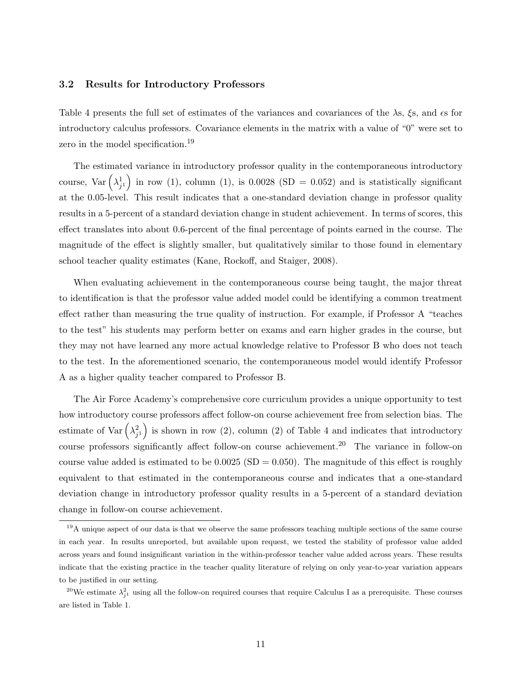#### 3.2 Results for Introductory Professors

Table 4 presents the full set of estimates of the variances and covariances of the  $\lambda$ s,  $\xi$ s, and  $\epsilon$ s for introductory calculus professors. Covariance elements in the matrix with a value of "0" were set to zero in the model specification.<sup>19</sup>

The estimated variance in introductory professor quality in the contemporaneous introductory course, Var  $(\lambda_j^1)$  in row (1), column (1), is 0.0028 (SD = 0.052) and is statistically significant at the 0.05-level. This result indicates that a one-standard deviation change in professor quality results in a 5-percent of a standard deviation change in student achievement. In terms of scores, this effect translates into about 0.6-percent of the final percentage of points earned in the course. The magnitude of the effect is slightly smaller, but qualitatively similar to those found in elementary school teacher quality estimates (Kane, Rockoff, and Staiger, 2008).

When evaluating achievement in the contemporaneous course being taught, the major threat to identification is that the professor value added model could be identifying a common treatment effect rather than measuring the true quality of instruction. For example, if Professor A "teaches to the test" his students may perform better on exams and earn higher grades in the course, but they may not have learned any more actual knowledge relative to Professor B who does not teach to the test. In the aforementioned scenario, the contemporaneous model would identify Professor A as a higher quality teacher compared to Professor B.

The Air Force Academy's comprehensive core curriculum provides a unique opportunity to test how introductory course professors affect follow-on course achievement free from selection bias. The estimate of Var  $(\lambda_{j1}^2)$  is shown in row (2), column (2) of Table 4 and indicates that introductory course professors significantly affect follow-on course achievement.<sup>20</sup> The variance in follow-on course value added is estimated to be  $0.0025$  (SD = 0.050). The magnitude of this effect is roughly equivalent to that estimated in the contemporaneous course and indicates that a one-standard deviation change in introductory professor quality results in a 5-percent of a standard deviation change in follow-on course achievement.

 $19A$  unique aspect of our data is that we observe the same professors teaching multiple sections of the same course in each year. In results unreported, but available upon request, we tested the stability of professor value added across years and found insignificant variation in the within-professor teacher value added across years. These results indicate that the existing practice in the teacher quality literature of relying on only year-to-year variation appears to be justified in our setting.

<sup>&</sup>lt;sup>20</sup>We estimate  $\lambda_{j1}^2$  using all the follow-on required courses that require Calculus I as a prerequisite. These courses are listed in Table 1.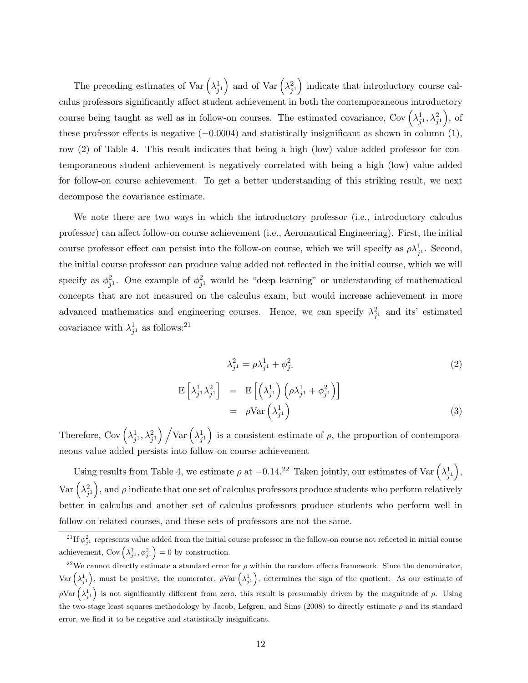The preceding estimates of Var  $(\lambda_{j1}^1)$  and of Var  $(\lambda_{j1}^2)$  indicate that introductory course calculus professors significantly affect student achievement in both the contemporaneous introductory course being taught as well as in follow-on courses. The estimated covariance, Cov  $(\lambda_{j1}^1, \lambda_{j1}^2)$ , of these professor effects is negative (−0.0004) and statistically insignificant as shown in column (1), row (2) of Table 4. This result indicates that being a high (low) value added professor for contemporaneous student achievement is negatively correlated with being a high (low) value added for follow-on course achievement. To get a better understanding of this striking result, we next decompose the covariance estimate.

We note there are two ways in which the introductory professor (i.e., introductory calculus professor) can affect follow-on course achievement (i.e., Aeronautical Engineering). First, the initial course professor effect can persist into the follow-on course, which we will specify as  $\rho \lambda_{j}^{1}$ . Second, the initial course professor can produce value added not reflected in the initial course, which we will specify as  $\phi_{j}^2$ . One example of  $\phi_{j1}^2$  would be "deep learning" or understanding of mathematical concepts that are not measured on the calculus exam, but would increase achievement in more advanced mathematics and engineering courses. Hence, we can specify  $\lambda_{j}^2$  and its' estimated covariance with  $\lambda_{j_1}^1$  as follows:<sup>21</sup>

$$
\lambda_{j1}^{2} = \rho \lambda_{j1}^{1} + \phi_{j1}^{2}
$$
\n
$$
\mathbb{E}\left[\lambda_{j1}^{1} \lambda_{j1}^{2}\right] = \mathbb{E}\left[\left(\lambda_{j1}^{1}\right)\left(\rho \lambda_{j1}^{1} + \phi_{j1}^{2}\right)\right]
$$
\n
$$
= \rho \text{Var}\left(\lambda_{j1}^{1}\right)
$$
\n(3)

Therefore, Cov  $\left(\lambda_{j1}^1, \lambda_{j1}^2\right)$   $\left/\text{Var}\left(\lambda_{j1}^1\right)\right.$  is a consistent estimate of  $\rho$ , the proportion of contemporaneous value added persists into follow-on course achievement

Using results from Table 4, we estimate  $\rho$  at  $-0.14$ .<sup>22</sup> Taken jointly, our estimates of Var  $\left(\lambda_{j1}^1\right)$ ,  $\text{Var}\left(\lambda_{j1}^2\right)$ , and  $\rho$  indicate that one set of calculus professors produce students who perform relatively better in calculus and another set of calculus professors produce students who perform well in follow-on related courses, and these sets of professors are not the same.

<sup>&</sup>lt;sup>21</sup>If  $\phi_{j_1}^2$  represents value added from the initial course professor in the follow-on course not reflected in initial course achievement, Cov  $(\lambda_{j1}^1, \phi_{j1}^2) = 0$  by construction.

<sup>&</sup>lt;sup>22</sup>We cannot directly estimate a standard error for  $\rho$  within the random effects framework. Since the denominator, Var  $(\lambda_j^1)$ , must be positive, the numerator,  $\rho$ Var  $(\lambda_j^1)$ , determines the sign of the quotient. As our estimate of  $\rho \text{Var}\left(\lambda_{j1}^1\right)$  is not significantly different from zero, this result is presumably driven by the magnitude of  $\rho$ . Using the two-stage least squares methodology by Jacob, Lefgren, and Sims (2008) to directly estimate  $\rho$  and its standard error, we find it to be negative and statistically insignificant.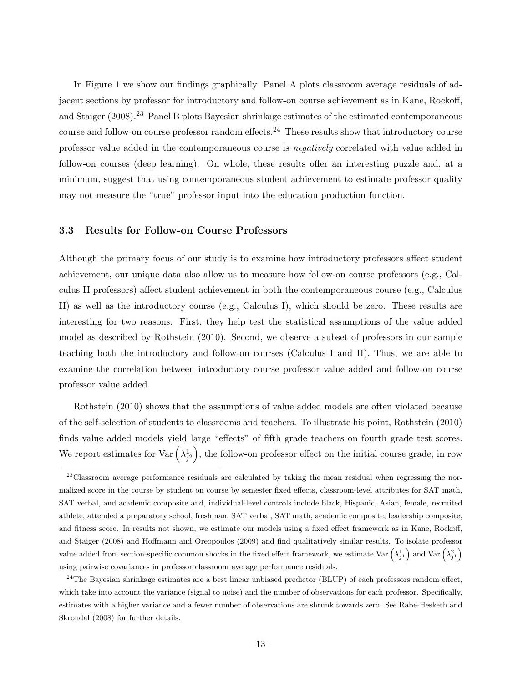In Figure 1 we show our findings graphically. Panel A plots classroom average residuals of adjacent sections by professor for introductory and follow-on course achievement as in Kane, Rockoff, and Staiger (2008).<sup>23</sup> Panel B plots Bayesian shrinkage estimates of the estimated contemporaneous course and follow-on course professor random effects.<sup>24</sup> These results show that introductory course professor value added in the contemporaneous course is negatively correlated with value added in follow-on courses (deep learning). On whole, these results offer an interesting puzzle and, at a minimum, suggest that using contemporaneous student achievement to estimate professor quality may not measure the "true" professor input into the education production function.

#### 3.3 Results for Follow-on Course Professors

Although the primary focus of our study is to examine how introductory professors affect student achievement, our unique data also allow us to measure how follow-on course professors (e.g., Calculus II professors) affect student achievement in both the contemporaneous course (e.g., Calculus II) as well as the introductory course (e.g., Calculus I), which should be zero. These results are interesting for two reasons. First, they help test the statistical assumptions of the value added model as described by Rothstein (2010). Second, we observe a subset of professors in our sample teaching both the introductory and follow-on courses (Calculus I and II). Thus, we are able to examine the correlation between introductory course professor value added and follow-on course professor value added.

Rothstein (2010) shows that the assumptions of value added models are often violated because of the self-selection of students to classrooms and teachers. To illustrate his point, Rothstein (2010) finds value added models yield large "effects" of fifth grade teachers on fourth grade test scores. We report estimates for  $\text{Var}(\lambda_{j^2}^1)$ , the follow-on professor effect on the initial course grade, in row

<sup>&</sup>lt;sup>23</sup>Classroom average performance residuals are calculated by taking the mean residual when regressing the normalized score in the course by student on course by semester fixed effects, classroom-level attributes for SAT math, SAT verbal, and academic composite and, individual-level controls include black, Hispanic, Asian, female, recruited athlete, attended a preparatory school, freshman, SAT verbal, SAT math, academic composite, leadership composite, and fitness score. In results not shown, we estimate our models using a fixed effect framework as in Kane, Rockoff, and Staiger (2008) and Hoffmann and Oreopoulos (2009) and find qualitatively similar results. To isolate professor value added from section-specific common shocks in the fixed effect framework, we estimate Var  $(\lambda_{j1}^1)$  and Var  $(\lambda_{j1}^2)$ using pairwise covariances in professor classroom average performance residuals.

 $^{24}$ The Bayesian shrinkage estimates are a best linear unbiased predictor (BLUP) of each professors random effect, which take into account the variance (signal to noise) and the number of observations for each professor. Specifically, estimates with a higher variance and a fewer number of observations are shrunk towards zero. See Rabe-Hesketh and Skrondal (2008) for further details.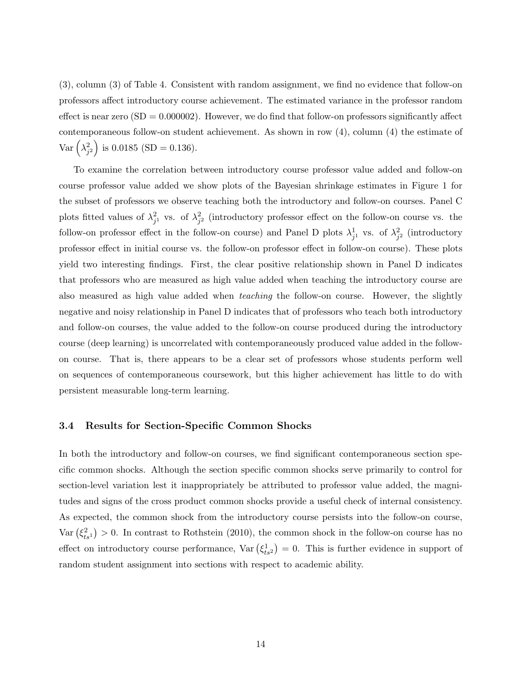(3), column (3) of Table 4. Consistent with random assignment, we find no evidence that follow-on professors affect introductory course achievement. The estimated variance in the professor random effect is near zero  $(SD = 0.000002)$ . However, we do find that follow-on professors significantly affect contemporaneous follow-on student achievement. As shown in row (4), column (4) the estimate of  $\text{Var}\left(\lambda_{j^2}^2\right)$  is 0.0185 (SD = 0.136).

To examine the correlation between introductory course professor value added and follow-on course professor value added we show plots of the Bayesian shrinkage estimates in Figure 1 for the subset of professors we observe teaching both the introductory and follow-on courses. Panel C plots fitted values of  $\lambda_{j1}^2$  vs. of  $\lambda_{j2}^2$  (introductory professor effect on the follow-on course vs. the follow-on professor effect in the follow-on course) and Panel D plots  $\lambda_{j1}^1$  vs. of  $\lambda_{j2}^2$  (introductory professor effect in initial course vs. the follow-on professor effect in follow-on course). These plots yield two interesting findings. First, the clear positive relationship shown in Panel D indicates that professors who are measured as high value added when teaching the introductory course are also measured as high value added when teaching the follow-on course. However, the slightly negative and noisy relationship in Panel D indicates that of professors who teach both introductory and follow-on courses, the value added to the follow-on course produced during the introductory course (deep learning) is uncorrelated with contemporaneously produced value added in the followon course. That is, there appears to be a clear set of professors whose students perform well on sequences of contemporaneous coursework, but this higher achievement has little to do with persistent measurable long-term learning.

#### 3.4 Results for Section-Specific Common Shocks

In both the introductory and follow-on courses, we find significant contemporaneous section specific common shocks. Although the section specific common shocks serve primarily to control for section-level variation lest it inappropriately be attributed to professor value added, the magnitudes and signs of the cross product common shocks provide a useful check of internal consistency. As expected, the common shock from the introductory course persists into the follow-on course,  $\text{Var}(\xi_{ts}^2) > 0$ . In contrast to Rothstein (2010), the common shock in the follow-on course has no effect on introductory course performance,  $\text{Var}(\xi_{ts}^1) = 0$ . This is further evidence in support of random student assignment into sections with respect to academic ability.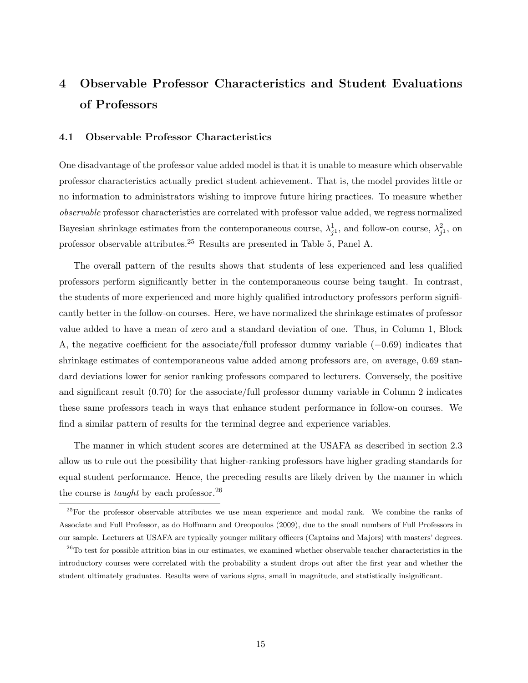# 4 Observable Professor Characteristics and Student Evaluations of Professors

#### 4.1 Observable Professor Characteristics

One disadvantage of the professor value added model is that it is unable to measure which observable professor characteristics actually predict student achievement. That is, the model provides little or no information to administrators wishing to improve future hiring practices. To measure whether observable professor characteristics are correlated with professor value added, we regress normalized Bayesian shrinkage estimates from the contemporaneous course,  $\lambda_{j1}^1$ , and follow-on course,  $\lambda_{j1}^2$ , on professor observable attributes.<sup>25</sup> Results are presented in Table 5, Panel A.

The overall pattern of the results shows that students of less experienced and less qualified professors perform significantly better in the contemporaneous course being taught. In contrast, the students of more experienced and more highly qualified introductory professors perform significantly better in the follow-on courses. Here, we have normalized the shrinkage estimates of professor value added to have a mean of zero and a standard deviation of one. Thus, in Column 1, Block A, the negative coefficient for the associate/full professor dummy variable (−0.69) indicates that shrinkage estimates of contemporaneous value added among professors are, on average, 0.69 standard deviations lower for senior ranking professors compared to lecturers. Conversely, the positive and significant result (0.70) for the associate/full professor dummy variable in Column 2 indicates these same professors teach in ways that enhance student performance in follow-on courses. We find a similar pattern of results for the terminal degree and experience variables.

The manner in which student scores are determined at the USAFA as described in section 2.3 allow us to rule out the possibility that higher-ranking professors have higher grading standards for equal student performance. Hence, the preceding results are likely driven by the manner in which the course is *taught* by each professor.<sup>26</sup>

<sup>&</sup>lt;sup>25</sup>For the professor observable attributes we use mean experience and modal rank. We combine the ranks of Associate and Full Professor, as do Hoffmann and Oreopoulos (2009), due to the small numbers of Full Professors in our sample. Lecturers at USAFA are typically younger military officers (Captains and Majors) with masters' degrees.

<sup>&</sup>lt;sup>26</sup>To test for possible attrition bias in our estimates, we examined whether observable teacher characteristics in the introductory courses were correlated with the probability a student drops out after the first year and whether the student ultimately graduates. Results were of various signs, small in magnitude, and statistically insignificant.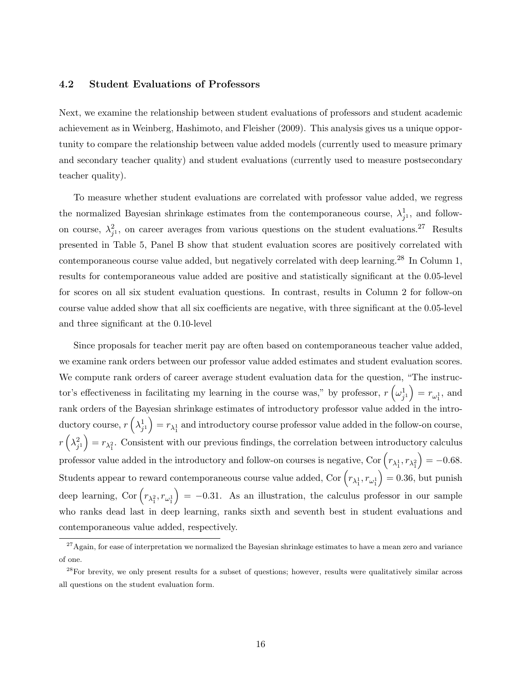#### 4.2 Student Evaluations of Professors

Next, we examine the relationship between student evaluations of professors and student academic achievement as in Weinberg, Hashimoto, and Fleisher (2009). This analysis gives us a unique opportunity to compare the relationship between value added models (currently used to measure primary and secondary teacher quality) and student evaluations (currently used to measure postsecondary teacher quality).

To measure whether student evaluations are correlated with professor value added, we regress the normalized Bayesian shrinkage estimates from the contemporaneous course,  $\lambda_{j1}^1$ , and followon course,  $\lambda_{j1}^2$ , on career averages from various questions on the student evaluations.<sup>27</sup> Results presented in Table 5, Panel B show that student evaluation scores are positively correlated with contemporaneous course value added, but negatively correlated with deep learning.<sup>28</sup> In Column 1, results for contemporaneous value added are positive and statistically significant at the 0.05-level for scores on all six student evaluation questions. In contrast, results in Column 2 for follow-on course value added show that all six coefficients are negative, with three significant at the 0.05-level and three significant at the 0.10-level

Since proposals for teacher merit pay are often based on contemporaneous teacher value added, we examine rank orders between our professor value added estimates and student evaluation scores. We compute rank orders of career average student evaluation data for the question, "The instructor's effectiveness in facilitating my learning in the course was," by professor,  $r\left(\omega_{j1}^{1}\right) = r_{\omega_1^1}$ , and rank orders of the Bayesian shrinkage estimates of introductory professor value added in the introductory course,  $r\left(\lambda_{j1}^1\right)=r_{\lambda_1^1}$  and introductory course professor value added in the follow-on course,  $r\left(\lambda_{j1}^2\right) = r_{\lambda_1^2}$ . Consistent with our previous findings, the correlation between introductory calculus professor value added in the introductory and follow-on courses is negative, Cor  $\left(r_{\lambda_1^1}, r_{\lambda_1^2}\right)$  $= -0.68$ . Students appear to reward contemporaneous course value added, Cor  $\left(r_{\lambda_1^1}, r_{\omega_1^1}\right)$  $= 0.36$ , but punish deep learning, Cor $\left(r_{\lambda_1^2}, r_{\omega_1^1}\right)$  $= -0.31$ . As an illustration, the calculus professor in our sample who ranks dead last in deep learning, ranks sixth and seventh best in student evaluations and contemporaneous value added, respectively.

 $27$ Again, for ease of interpretation we normalized the Bayesian shrinkage estimates to have a mean zero and variance of one.

 $^{28}$ For brevity, we only present results for a subset of questions; however, results were qualitatively similar across all questions on the student evaluation form.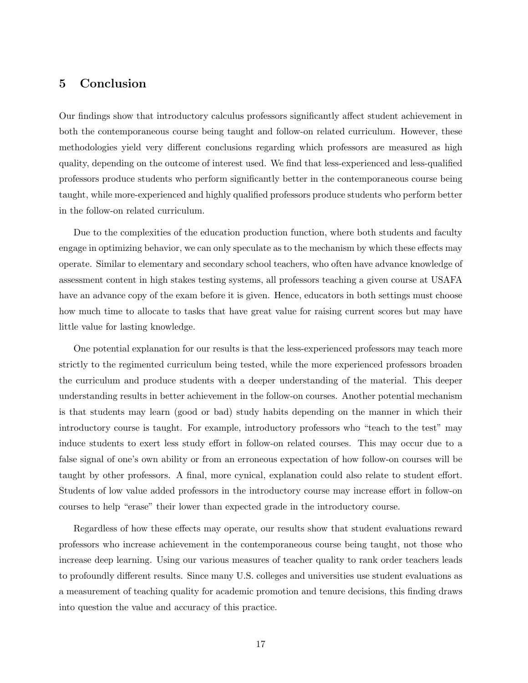# 5 Conclusion

Our findings show that introductory calculus professors significantly affect student achievement in both the contemporaneous course being taught and follow-on related curriculum. However, these methodologies yield very different conclusions regarding which professors are measured as high quality, depending on the outcome of interest used. We find that less-experienced and less-qualified professors produce students who perform significantly better in the contemporaneous course being taught, while more-experienced and highly qualified professors produce students who perform better in the follow-on related curriculum.

Due to the complexities of the education production function, where both students and faculty engage in optimizing behavior, we can only speculate as to the mechanism by which these effects may operate. Similar to elementary and secondary school teachers, who often have advance knowledge of assessment content in high stakes testing systems, all professors teaching a given course at USAFA have an advance copy of the exam before it is given. Hence, educators in both settings must choose how much time to allocate to tasks that have great value for raising current scores but may have little value for lasting knowledge.

One potential explanation for our results is that the less-experienced professors may teach more strictly to the regimented curriculum being tested, while the more experienced professors broaden the curriculum and produce students with a deeper understanding of the material. This deeper understanding results in better achievement in the follow-on courses. Another potential mechanism is that students may learn (good or bad) study habits depending on the manner in which their introductory course is taught. For example, introductory professors who "teach to the test" may induce students to exert less study effort in follow-on related courses. This may occur due to a false signal of one's own ability or from an erroneous expectation of how follow-on courses will be taught by other professors. A final, more cynical, explanation could also relate to student effort. Students of low value added professors in the introductory course may increase effort in follow-on courses to help "erase" their lower than expected grade in the introductory course.

Regardless of how these effects may operate, our results show that student evaluations reward professors who increase achievement in the contemporaneous course being taught, not those who increase deep learning. Using our various measures of teacher quality to rank order teachers leads to profoundly different results. Since many U.S. colleges and universities use student evaluations as a measurement of teaching quality for academic promotion and tenure decisions, this finding draws into question the value and accuracy of this practice.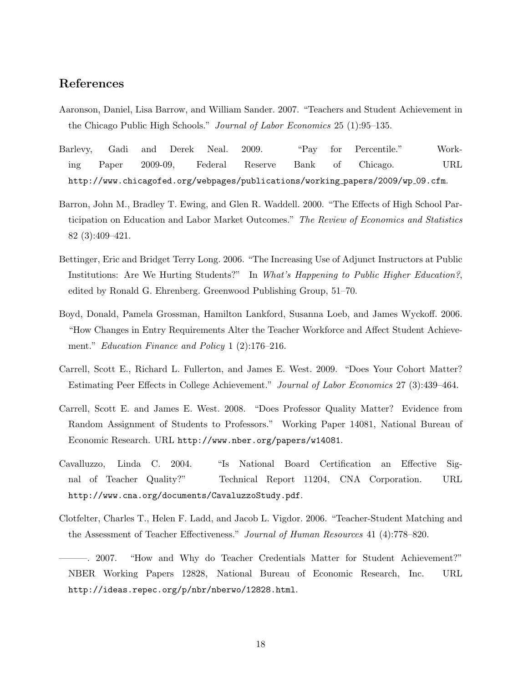# References

- Aaronson, Daniel, Lisa Barrow, and William Sander. 2007. "Teachers and Student Achievement in the Chicago Public High Schools." Journal of Labor Economics 25 (1):95-135.
- Barlevy, Gadi and Derek Neal. 2009. "Pay for Percentile." Working Paper 2009-09, Federal Reserve Bank of Chicago. URL http://www.chicagofed.org/webpages/publications/working papers/2009/wp 09.cfm.
- Barron, John M., Bradley T. Ewing, and Glen R. Waddell. 2000. "The Effects of High School Participation on Education and Labor Market Outcomes." The Review of Economics and Statistics 82 (3):409–421.
- Bettinger, Eric and Bridget Terry Long. 2006. "The Increasing Use of Adjunct Instructors at Public Institutions: Are We Hurting Students?" In What's Happening to Public Higher Education?, edited by Ronald G. Ehrenberg. Greenwood Publishing Group, 51–70.
- Boyd, Donald, Pamela Grossman, Hamilton Lankford, Susanna Loeb, and James Wyckoff. 2006. "How Changes in Entry Requirements Alter the Teacher Workforce and Affect Student Achievement." Education Finance and Policy 1 (2):176–216.
- Carrell, Scott E., Richard L. Fullerton, and James E. West. 2009. "Does Your Cohort Matter? Estimating Peer Effects in College Achievement." Journal of Labor Economics 27 (3):439–464.
- Carrell, Scott E. and James E. West. 2008. "Does Professor Quality Matter? Evidence from Random Assignment of Students to Professors." Working Paper 14081, National Bureau of Economic Research. URL http://www.nber.org/papers/w14081.
- Cavalluzzo, Linda C. 2004. "Is National Board Certification an Effective Signal of Teacher Quality?" Technical Report 11204, CNA Corporation. URL http://www.cna.org/documents/CavaluzzoStudy.pdf.
- Clotfelter, Charles T., Helen F. Ladd, and Jacob L. Vigdor. 2006. "Teacher-Student Matching and the Assessment of Teacher Effectiveness." Journal of Human Resources 41 (4):778–820.
- ———. 2007. "How and Why do Teacher Credentials Matter for Student Achievement?" NBER Working Papers 12828, National Bureau of Economic Research, Inc. URL http://ideas.repec.org/p/nbr/nberwo/12828.html.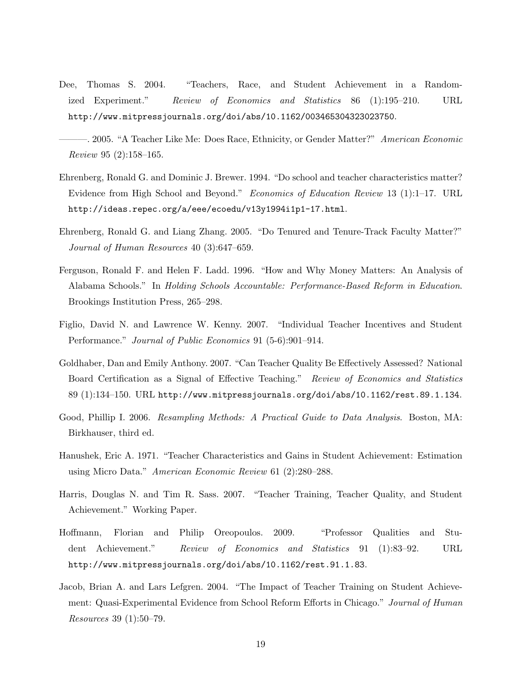- Dee, Thomas S. 2004. "Teachers, Race, and Student Achievement in a Randomized Experiment." Review of Economics and Statistics 86 (1):195–210. URL http://www.mitpressjournals.org/doi/abs/10.1162/003465304323023750.
- -. 2005. "A Teacher Like Me: Does Race, Ethnicity, or Gender Matter?" American Economic Review 95 (2):158–165.
- Ehrenberg, Ronald G. and Dominic J. Brewer. 1994. "Do school and teacher characteristics matter? Evidence from High School and Beyond." *Economics of Education Review* 13 (1):1–17. URL http://ideas.repec.org/a/eee/ecoedu/v13y1994i1p1-17.html.
- Ehrenberg, Ronald G. and Liang Zhang. 2005. "Do Tenured and Tenure-Track Faculty Matter?" Journal of Human Resources 40 (3):647–659.
- Ferguson, Ronald F. and Helen F. Ladd. 1996. "How and Why Money Matters: An Analysis of Alabama Schools." In Holding Schools Accountable: Performance-Based Reform in Education. Brookings Institution Press, 265–298.
- Figlio, David N. and Lawrence W. Kenny. 2007. "Individual Teacher Incentives and Student Performance." Journal of Public Economics 91 (5-6):901–914.
- Goldhaber, Dan and Emily Anthony. 2007. "Can Teacher Quality Be Effectively Assessed? National Board Certification as a Signal of Effective Teaching." Review of Economics and Statistics 89 (1):134–150. URL http://www.mitpressjournals.org/doi/abs/10.1162/rest.89.1.134.
- Good, Phillip I. 2006. Resampling Methods: A Practical Guide to Data Analysis. Boston, MA: Birkhauser, third ed.
- Hanushek, Eric A. 1971. "Teacher Characteristics and Gains in Student Achievement: Estimation using Micro Data." American Economic Review 61 (2):280–288.
- Harris, Douglas N. and Tim R. Sass. 2007. "Teacher Training, Teacher Quality, and Student Achievement." Working Paper.
- Hoffmann, Florian and Philip Oreopoulos. 2009. "Professor Qualities and Student Achievement." Review of Economics and Statistics 91 (1):83–92. URL http://www.mitpressjournals.org/doi/abs/10.1162/rest.91.1.83.
- Jacob, Brian A. and Lars Lefgren. 2004. "The Impact of Teacher Training on Student Achievement: Quasi-Experimental Evidence from School Reform Efforts in Chicago." Journal of Human Resources 39 (1):50–79.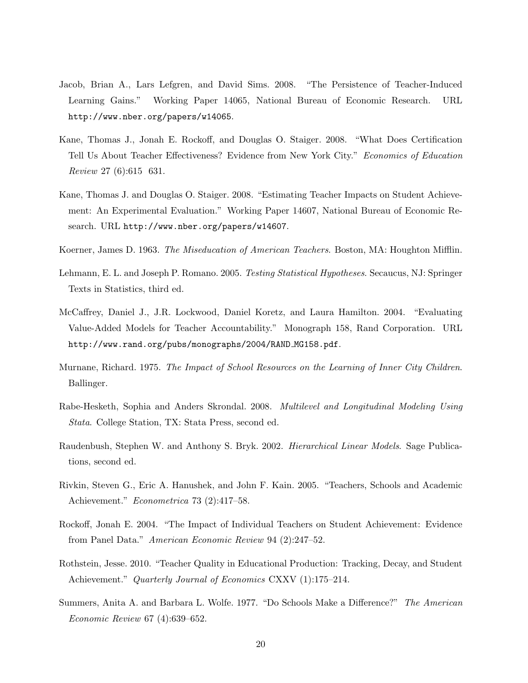- Jacob, Brian A., Lars Lefgren, and David Sims. 2008. "The Persistence of Teacher-Induced Learning Gains." Working Paper 14065, National Bureau of Economic Research. URL http://www.nber.org/papers/w14065.
- Kane, Thomas J., Jonah E. Rockoff, and Douglas O. Staiger. 2008. "What Does Certification Tell Us About Teacher Effectiveness? Evidence from New York City." Economics of Education Review 27 (6):615 631.
- Kane, Thomas J. and Douglas O. Staiger. 2008. "Estimating Teacher Impacts on Student Achievement: An Experimental Evaluation." Working Paper 14607, National Bureau of Economic Research. URL http://www.nber.org/papers/w14607.
- Koerner, James D. 1963. The Miseducation of American Teachers. Boston, MA: Houghton Mifflin.
- Lehmann, E. L. and Joseph P. Romano. 2005. Testing Statistical Hypotheses. Secaucus, NJ: Springer Texts in Statistics, third ed.
- McCaffrey, Daniel J., J.R. Lockwood, Daniel Koretz, and Laura Hamilton. 2004. "Evaluating Value-Added Models for Teacher Accountability." Monograph 158, Rand Corporation. URL http://www.rand.org/pubs/monographs/2004/RAND MG158.pdf.
- Murnane, Richard. 1975. The Impact of School Resources on the Learning of Inner City Children. Ballinger.
- Rabe-Hesketh, Sophia and Anders Skrondal. 2008. Multilevel and Longitudinal Modeling Using Stata. College Station, TX: Stata Press, second ed.
- Raudenbush, Stephen W. and Anthony S. Bryk. 2002. Hierarchical Linear Models. Sage Publications, second ed.
- Rivkin, Steven G., Eric A. Hanushek, and John F. Kain. 2005. "Teachers, Schools and Academic Achievement." Econometrica 73 (2):417-58.
- Rockoff, Jonah E. 2004. "The Impact of Individual Teachers on Student Achievement: Evidence from Panel Data." American Economic Review 94 (2):247–52.
- Rothstein, Jesse. 2010. "Teacher Quality in Educational Production: Tracking, Decay, and Student Achievement." Quarterly Journal of Economics CXXV (1):175–214.
- Summers, Anita A. and Barbara L. Wolfe. 1977. "Do Schools Make a Difference?" The American Economic Review 67 (4):639–652.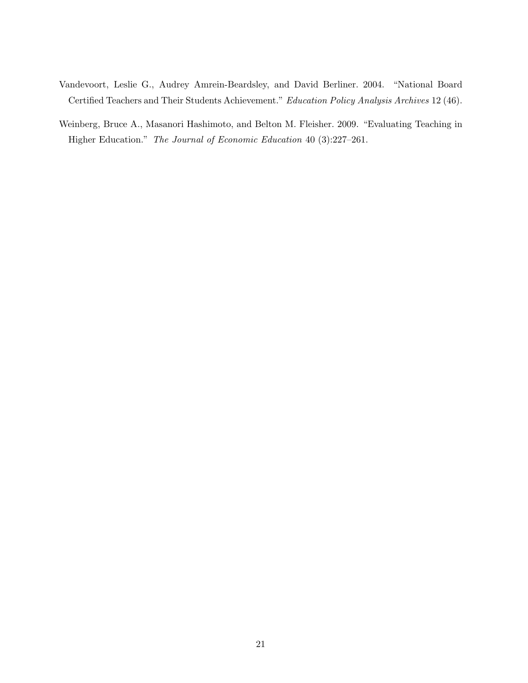- Vandevoort, Leslie G., Audrey Amrein-Beardsley, and David Berliner. 2004. "National Board Certified Teachers and Their Students Achievement." Education Policy Analysis Archives 12 (46).
- Weinberg, Bruce A., Masanori Hashimoto, and Belton M. Fleisher. 2009. "Evaluating Teaching in Higher Education." The Journal of Economic Education 40 (3):227–261.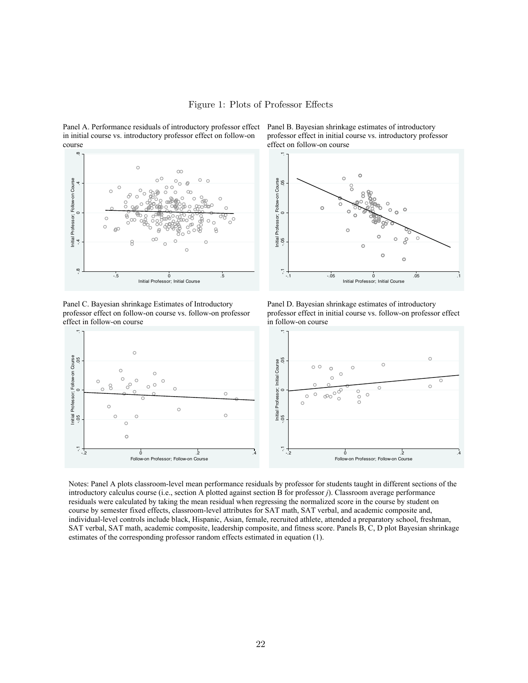

Panel A. Performance residuals of introductory professor effect Panel B. Bayesian shrinkage estimates of introductory in initial course vs. introductory professor effect on follow-on course



Panel C. Bayesian shrinkage Estimates of Introductory professor effect on follow-on course vs. follow-on professor effect in follow-on course

-.1 -.05 0 .05 .1 Initial Professor; Follow-on Course

 $\circ$ 

 $\frac{1}{1}$  nitial

Ţ

 $\circ$ 

 $\circ$ 

8

 $\circ$ 

8

Professor; Follow-on Course



professor effect in initial course vs. introductory professor

effect on follow-on course

Panel D. Bayesian shrinkage estimates of introductory professor effect in initial course vs. follow-on professor effect in follow-on course



Notes: Panel A plots classroom-level mean performance residuals by professor for students taught in different sections of the introductory calculus course (i.e., section A plotted against section B for professor *j*). Classroom average performance residuals were calculated by taking the mean residual when regressing the normalized score in the course by student on course by semester fixed effects, classroom-level attributes for SAT math, SAT verbal, and academic composite and, individual-level controls include black, Hispanic, Asian, female, recruited athlete, attended a preparatory school, freshman, SAT verbal, SAT math, academic composite, leadership composite, and fitness score. Panels B, C, D plot Bayesian shrinkage estimates of the corresponding professor random effects estimated in equation (1).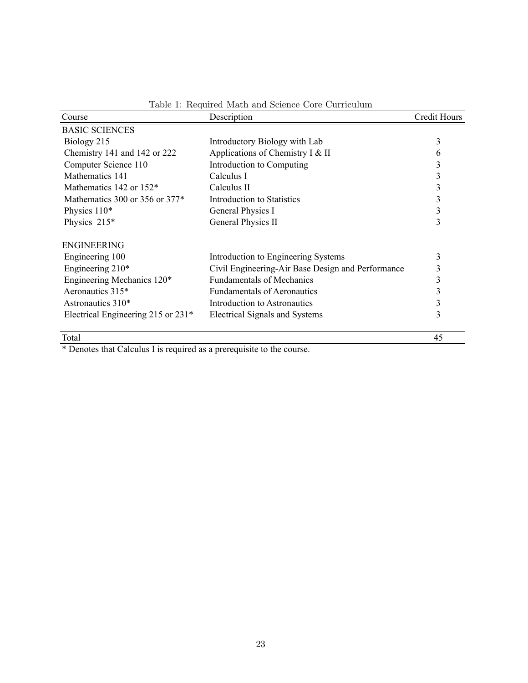| Course                             | Description                                       | Credit Hours |
|------------------------------------|---------------------------------------------------|--------------|
| <b>BASIC SCIENCES</b>              |                                                   |              |
| Biology 215                        | Introductory Biology with Lab                     | 3            |
| Chemistry 141 and 142 or 222       | Applications of Chemistry I & II                  | 6            |
| Computer Science 110               | Introduction to Computing                         | 3            |
| Mathematics 141                    | Calculus I                                        | 3            |
| Mathematics 142 or 152*            | Calculus II                                       | 3            |
| Mathematics 300 or 356 or $377*$   | Introduction to Statistics                        | 3            |
| Physics 110*                       | General Physics I                                 | 3            |
| Physics 215*                       | General Physics II                                | 3            |
| <b>ENGINEERING</b>                 |                                                   |              |
| Engineering 100                    | Introduction to Engineering Systems               | 3            |
| Engineering 210*                   | Civil Engineering-Air Base Design and Performance | 3            |
| Engineering Mechanics 120*         | <b>Fundamentals of Mechanics</b>                  | 3            |
| Aeronautics 315*                   | <b>Fundamentals of Aeronautics</b>                | 3            |
| Astronautics 310 <sup>*</sup>      | Introduction to Astronautics                      |              |
| Electrical Engineering 215 or 231* | Electrical Signals and Systems                    | 3            |
| Total                              |                                                   | 45           |

Table 1: Required Math and Science Core Curriculum

\* Denotes that Calculus I is required as a prerequisite to the course.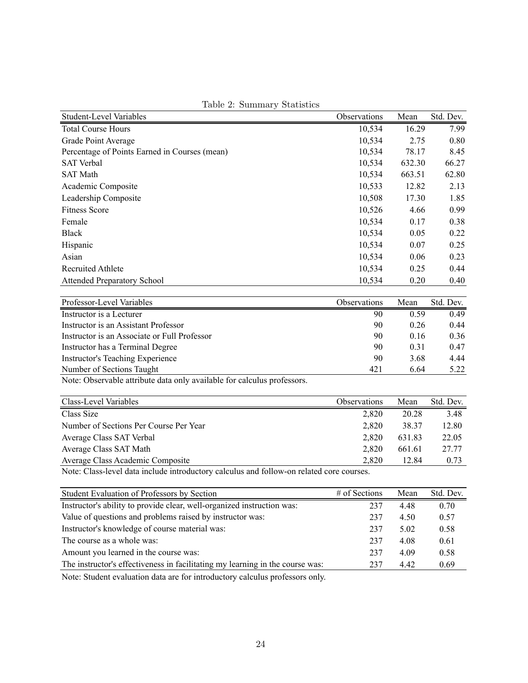| Student-Level Variables                                                                  | Observations  | Mean   | Std. Dev. |
|------------------------------------------------------------------------------------------|---------------|--------|-----------|
| <b>Total Course Hours</b>                                                                | 10,534        | 16.29  | 7.99      |
| Grade Point Average                                                                      | 10,534        | 2.75   | 0.80      |
| Percentage of Points Earned in Courses (mean)                                            | 10,534        | 78.17  | 8.45      |
| <b>SAT Verbal</b>                                                                        | 10,534        | 632.30 | 66.27     |
| <b>SAT Math</b>                                                                          | 10,534        | 663.51 | 62.80     |
| Academic Composite                                                                       | 10,533        | 12.82  | 2.13      |
| Leadership Composite                                                                     | 10,508        | 17.30  | 1.85      |
| <b>Fitness Score</b>                                                                     | 10,526        | 4.66   | 0.99      |
| Female                                                                                   | 10,534        | 0.17   | 0.38      |
| <b>Black</b>                                                                             | 10,534        | 0.05   | 0.22      |
| Hispanic                                                                                 | 10,534        | 0.07   | 0.25      |
| Asian                                                                                    | 10,534        | 0.06   | 0.23      |
| <b>Recruited Athlete</b>                                                                 | 10,534        | 0.25   | 0.44      |
| <b>Attended Preparatory School</b>                                                       | 10,534        | 0.20   | 0.40      |
|                                                                                          |               |        |           |
| Professor-Level Variables                                                                | Observations  | Mean   | Std. Dev. |
| Instructor is a Lecturer                                                                 | 90            | 0.59   | 0.49      |
| Instructor is an Assistant Professor                                                     | 90            | 0.26   | 0.44      |
| Instructor is an Associate or Full Professor                                             | 90            | 0.16   | 0.36      |
| Instructor has a Terminal Degree                                                         | 90            | 0.31   | 0.47      |
| Instructor's Teaching Experience                                                         | 90            | 3.68   | 4.44      |
| Number of Sections Taught                                                                | 421           | 6.64   | 5.22      |
| Note: Observable attribute data only available for calculus professors.                  |               |        |           |
| <b>Class-Level Variables</b>                                                             | Observations  | Mean   | Std. Dev. |
| <b>Class Size</b>                                                                        | 2,820         | 20.28  | 3.48      |
| Number of Sections Per Course Per Year                                                   | 2,820         | 38.37  | 12.80     |
| Average Class SAT Verbal                                                                 | 2,820         | 631.83 | 22.05     |
| Average Class SAT Math                                                                   | 2,820         | 661.61 | 27.77     |
| Average Class Academic Composite                                                         | 2,820         | 12.84  | 0.73      |
| Note: Class-level data include introductory calculus and follow-on related core courses. |               |        |           |
| Student Evaluation of Professors by Section                                              | # of Sections | Mean   | Std. Dev. |
| Instructor's ability to provide clear, well-organized instruction was:                   | 237           | 4.48   | 0.70      |
| Value of questions and problems raised by instructor was:                                | 237           | 4.50   | 0.57      |
| Instructor's knowledge of course material was:                                           | 237           | 5.02   | 0.58      |
| The course as a whole was:                                                               | 237           | 4.08   | 0.61      |

Table 2: Summary Statistics

Note: Student evaluation data are for introductory calculus professors only.

Amount you learned in the course was: 237 4.09 0.58 The instructor's effectiveness in facilitating my learning in the course was: 237 4.42 0.69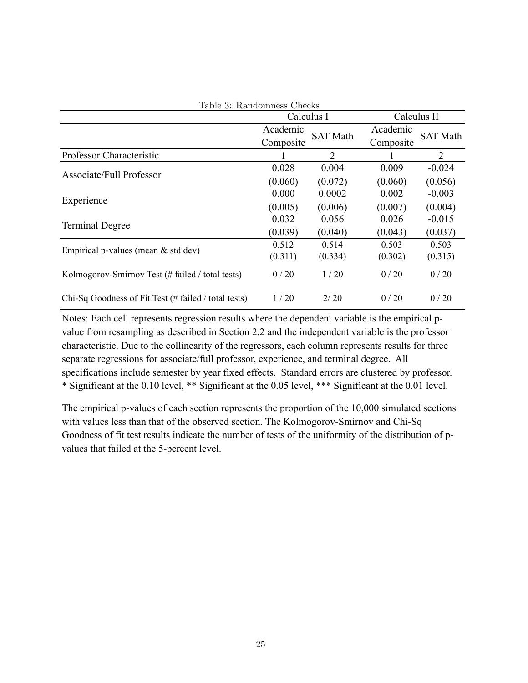| Table 3: Randomness Checks                           |                       |                  |                       |                  |  |
|------------------------------------------------------|-----------------------|------------------|-----------------------|------------------|--|
|                                                      |                       | Calculus I       | Calculus II           |                  |  |
|                                                      | Academic<br>Composite | <b>SAT Math</b>  | Academic<br>Composite | <b>SAT Math</b>  |  |
| Professor Characteristic                             |                       | $\overline{2}$   |                       | $\overline{2}$   |  |
| Associate/Full Professor                             | 0.028                 | 0.004            | 0.009                 | $-0.024$         |  |
|                                                      | (0.060)               | (0.072)          | (0.060)               | (0.056)          |  |
| Experience                                           | 0.000                 | 0.0002           | 0.002                 | $-0.003$         |  |
|                                                      | (0.005)               | (0.006)          | (0.007)               | (0.004)          |  |
|                                                      | 0.032                 | 0.056            | 0.026                 | $-0.015$         |  |
| <b>Terminal Degree</b>                               | (0.039)               | (0.040)          | (0.043)               | (0.037)          |  |
| Empirical p-values (mean $&$ std dev)                | 0.512<br>(0.311)      | 0.514<br>(0.334) | 0.503<br>(0.302)      | 0.503<br>(0.315) |  |
| Kolmogorov-Smirnov Test (# failed / total tests)     | 0/20                  | 1/20             | 0/20                  | 0/20             |  |
| Chi-Sq Goodness of Fit Test (# failed / total tests) | 1/20                  | 2/20             | 0/20                  | 0/20             |  |

Notes: Each cell represents regression results where the dependent variable is the empirical pvalue from resampling as described in Section 2.2 and the independent variable is the professor characteristic. Due to the collinearity of the regressors, each column represents results for three separate regressions for associate/full professor, experience, and terminal degree. All specifications include semester by year fixed effects. Standard errors are clustered by professor. \* Significant at the 0.10 level, \*\* Significant at the 0.05 level, \*\*\* Significant at the 0.01 level.

The empirical p-values of each section represents the proportion of the 10,000 simulated sections with values less than that of the observed section. The Kolmogorov-Smirnov and Chi-Sq Goodness of fit test results indicate the number of tests of the uniformity of the distribution of pvalues that failed at the 5-percent level.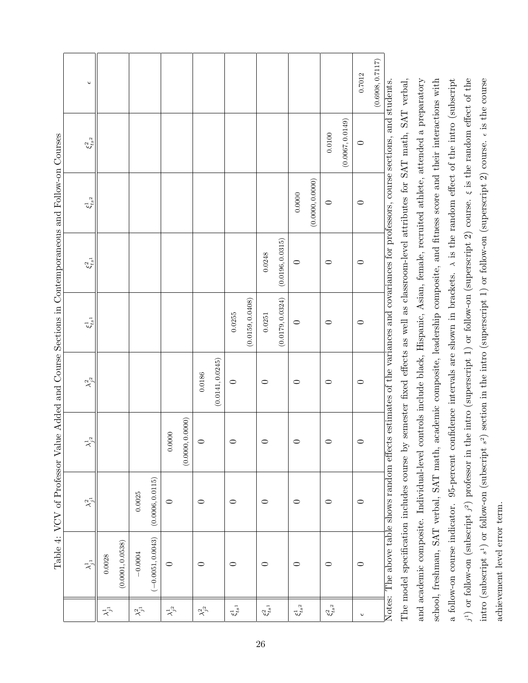|                   |                                                                                                                                                             |                   |                    |                   | Table 4: VCV of Professor Value Added and Course Sections in Contemporaneous and Follow-on Courses |                  |                  |                  |                  |
|-------------------|-------------------------------------------------------------------------------------------------------------------------------------------------------------|-------------------|--------------------|-------------------|----------------------------------------------------------------------------------------------------|------------------|------------------|------------------|------------------|
|                   | $\lambda_{i^1}^1$                                                                                                                                           | $\lambda_{i^1}^2$ | ₹                  | $\lambda_{j^2}^2$ | $\xi_{ts1}^1$                                                                                      | $\xi_{ts1}^2$    | $\xi_{ts^2}^1$   | $\xi_{ts^2}^2$   | $\cup$           |
|                   |                                                                                                                                                             |                   |                    |                   |                                                                                                    |                  |                  |                  |                  |
| $\lambda_{j^1}^1$ | 0.0028                                                                                                                                                      |                   |                    |                   |                                                                                                    |                  |                  |                  |                  |
|                   | (0.0001, 0.0538)                                                                                                                                            |                   |                    |                   |                                                                                                    |                  |                  |                  |                  |
| $\lambda_{j^1}^2$ | $-0.0004$                                                                                                                                                   | 0.0025            |                    |                   |                                                                                                    |                  |                  |                  |                  |
|                   | $(-0.0051, 0.0043)$                                                                                                                                         | (0.0006, 0.0115)  |                    |                   |                                                                                                    |                  |                  |                  |                  |
| $\lambda_{j^2}^1$ | 0                                                                                                                                                           | $\circ$           | 0.0000             |                   |                                                                                                    |                  |                  |                  |                  |
|                   |                                                                                                                                                             |                   | 0.0000<br>(0.0000, |                   |                                                                                                    |                  |                  |                  |                  |
| $\lambda_{j^2}^2$ | $\circ$                                                                                                                                                     | $\circ$           | $\circ$            | 0.0186            |                                                                                                    |                  |                  |                  |                  |
|                   |                                                                                                                                                             |                   |                    | (0.0141, 0.0245)  |                                                                                                    |                  |                  |                  |                  |
| $\xi_{ts1}^1$     | $\circ$                                                                                                                                                     | $\circ$           | $\circ$            | 0                 | 0.0255                                                                                             |                  |                  |                  |                  |
|                   |                                                                                                                                                             |                   |                    |                   | (0.0159, 0.0408)                                                                                   |                  |                  |                  |                  |
| $\xi_{ts^1}^2$    | $\circ$                                                                                                                                                     | $\circ$           | $\circ$            | $\circ$           | 0.0251                                                                                             | 0.0248           |                  |                  |                  |
|                   |                                                                                                                                                             |                   |                    |                   | (0.0179, 0.0324)                                                                                   | (0.0196, 0.0315) |                  |                  |                  |
| $\xi_{ts^2}^1$    | $\circ$                                                                                                                                                     | $\circ$           | $\circ$            | $\circ$           | 0                                                                                                  | 0                | 0.0000           |                  |                  |
|                   |                                                                                                                                                             |                   |                    |                   |                                                                                                    |                  | (0.0000, 0.0000) |                  |                  |
| $\xi_{ts^2}^2$    | 0                                                                                                                                                           | $\circ$           | $\circ$            | 0                 | ⊂                                                                                                  | $\circ$          | $\circ$          | 0.0100           |                  |
|                   |                                                                                                                                                             |                   |                    |                   |                                                                                                    |                  |                  | (0.0067, 0.0149) |                  |
| $\mathsf{U}$      | $\circ$                                                                                                                                                     | $\circ$           | $\circ$            | $\circ$           | 0                                                                                                  | $\circ$          | $\circ$          | 0                | 0.7012           |
|                   |                                                                                                                                                             |                   |                    |                   |                                                                                                    |                  |                  |                  | (0.6908, 0.7117) |
|                   | Notes: The above table shows random effects estimates of the variances and covariances for professors, course sections, and students                        |                   |                    |                   |                                                                                                    |                  |                  |                  |                  |
|                   | The model specification includes course by                                                                                                                  |                   |                    |                   | semester fixed effects as well as classroom-level attributes for SAT math, SAT verbal,             |                  |                  |                  |                  |
|                   | and academic composite. Individual-level controls include black, Hispanic, Asian, female, recruited athlete, attended a preparatory                         |                   |                    |                   |                                                                                                    |                  |                  |                  |                  |
|                   | school, freshman, SAT verbal, SAT math, academic composite, leadership composite, and fitness score and their interactions with                             |                   |                    |                   |                                                                                                    |                  |                  |                  |                  |
|                   | a follow-on course indicator. 95-percent confidence intervals are shown in brackets. A is the random effect of the intro (subscript                         |                   |                    |                   |                                                                                                    |                  |                  |                  |                  |
|                   | $j1$ ) or follow-on (subscript $j2$ ) professor in the intro (superscript 1) or follow-on (superscript 2) course. $\xi$ is the random effect of the         |                   |                    |                   |                                                                                                    |                  |                  |                  |                  |
|                   | intro (subscript $s^1$ ) or follow-on (subscript $s^2$ ) section in the intro (superscript 1) or follow-on (superscript 2) course. $\epsilon$ is the course |                   |                    |                   |                                                                                                    |                  |                  |                  |                  |

achievement level error term.

achievement level error term.